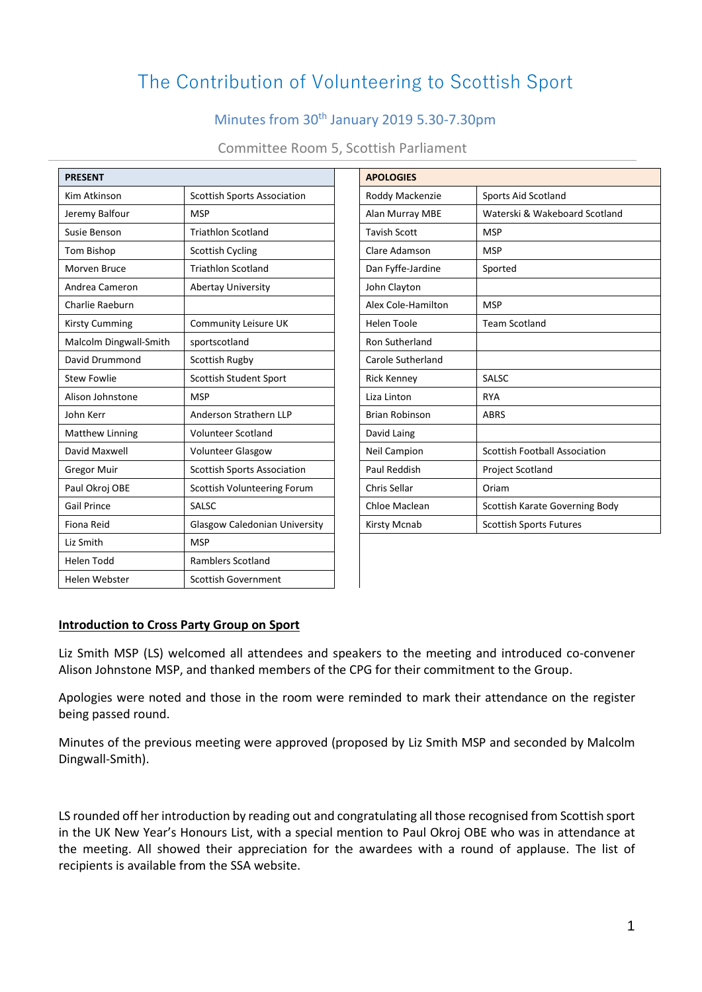# The Contribution of Volunteering to Scottish Sport

## Minutes from 30th January 2019 5.30-7.30pm

| <b>PRESENT</b>         |                                      | <b>APOLOGIES</b>      |                                      |
|------------------------|--------------------------------------|-----------------------|--------------------------------------|
| Kim Atkinson           | <b>Scottish Sports Association</b>   | Roddy Mackenzie       | <b>Sports Aid Scotland</b>           |
| Jeremy Balfour         | <b>MSP</b>                           | Alan Murray MBE       | Waterski & Wakeboard Scotland        |
| Susie Benson           | <b>Triathlon Scotland</b>            | <b>Tavish Scott</b>   | <b>MSP</b>                           |
| Tom Bishop             | <b>Scottish Cycling</b>              | Clare Adamson         | <b>MSP</b>                           |
| Morven Bruce           | <b>Triathlon Scotland</b>            | Dan Fyffe-Jardine     | Sported                              |
| Andrea Cameron         | <b>Abertay University</b>            | John Clayton          |                                      |
| Charlie Raeburn        |                                      | Alex Cole-Hamilton    | <b>MSP</b>                           |
| <b>Kirsty Cumming</b>  | Community Leisure UK                 | <b>Helen Toole</b>    | <b>Team Scotland</b>                 |
| Malcolm Dingwall-Smith | sportscotland                        | Ron Sutherland        |                                      |
| David Drummond         | Scottish Rugby                       | Carole Sutherland     |                                      |
| <b>Stew Fowlie</b>     | <b>Scottish Student Sport</b>        | <b>Rick Kenney</b>    | <b>SALSC</b>                         |
| Alison Johnstone       | <b>MSP</b>                           | Liza Linton           | <b>RYA</b>                           |
| John Kerr              | Anderson Strathern LLP               | <b>Brian Robinson</b> | <b>ABRS</b>                          |
| Matthew Linning        | <b>Volunteer Scotland</b>            | David Laing           |                                      |
| David Maxwell          | <b>Volunteer Glasgow</b>             | Neil Campion          | <b>Scottish Football Association</b> |
| <b>Gregor Muir</b>     | <b>Scottish Sports Association</b>   | Paul Reddish          | Project Scotland                     |
| Paul Okroj OBE         | Scottish Volunteering Forum          | Chris Sellar          | Oriam                                |
| <b>Gail Prince</b>     | <b>SALSC</b>                         | Chloe Maclean         | Scottish Karate Governing Body       |
| Fiona Reid             | <b>Glasgow Caledonian University</b> | Kirsty Mcnab          | <b>Scottish Sports Futures</b>       |
| Liz Smith              | <b>MSP</b>                           |                       |                                      |
| <b>Helen Todd</b>      | <b>Ramblers Scotland</b>             |                       |                                      |
| Helen Webster          | <b>Scottish Government</b>           |                       |                                      |

| <b>APOLOGIES</b>    |                                      |  |  |  |
|---------------------|--------------------------------------|--|--|--|
| Roddy Mackenzie     | Sports Aid Scotland                  |  |  |  |
| Alan Murray MBE     | Waterski & Wakeboard Scotland        |  |  |  |
| <b>Tavish Scott</b> | <b>MSP</b>                           |  |  |  |
| Clare Adamson       | <b>MSP</b>                           |  |  |  |
| Dan Fyffe-Jardine   | Sported                              |  |  |  |
| John Clayton        |                                      |  |  |  |
| Alex Cole-Hamilton  | <b>MSP</b>                           |  |  |  |
| <b>Helen Toole</b>  | <b>Team Scotland</b>                 |  |  |  |
| Ron Sutherland      |                                      |  |  |  |
| Carole Sutherland   |                                      |  |  |  |
| <b>Rick Kenney</b>  | <b>SALSC</b>                         |  |  |  |
| Liza Linton         | <b>RYA</b>                           |  |  |  |
| Brian Robinson      | <b>ABRS</b>                          |  |  |  |
| David Laing         |                                      |  |  |  |
| <b>Neil Campion</b> | <b>Scottish Football Association</b> |  |  |  |
| Paul Reddish        | <b>Project Scotland</b>              |  |  |  |
| Chris Sellar        | Oriam                                |  |  |  |
| Chloe Maclean       | Scottish Karate Governing Body       |  |  |  |
| <b>Kirsty Mcnab</b> | <b>Scottish Sports Futures</b>       |  |  |  |
|                     |                                      |  |  |  |

#### **Introduction to Cross Party Group on Sport**

Liz Smith MSP (LS) welcomed all attendees and speakers to the meeting and introduced co-convener Alison Johnstone MSP, and thanked members of the CPG for their commitment to the Group.

Apologies were noted and those in the room were reminded to mark their attendance on the register being passed round.

Minutes of the previous meeting were approved (proposed by Liz Smith MSP and seconded by Malcolm Dingwall-Smith).

LS rounded off her introduction by reading out and congratulating all those recognised from Scottish sport in the UK New Year's Honours List, with a special mention to Paul Okroj OBE who was in attendance at the meeting. All showed their appreciation for the awardees with a round of applause. The list of recipients is available from the SSA website.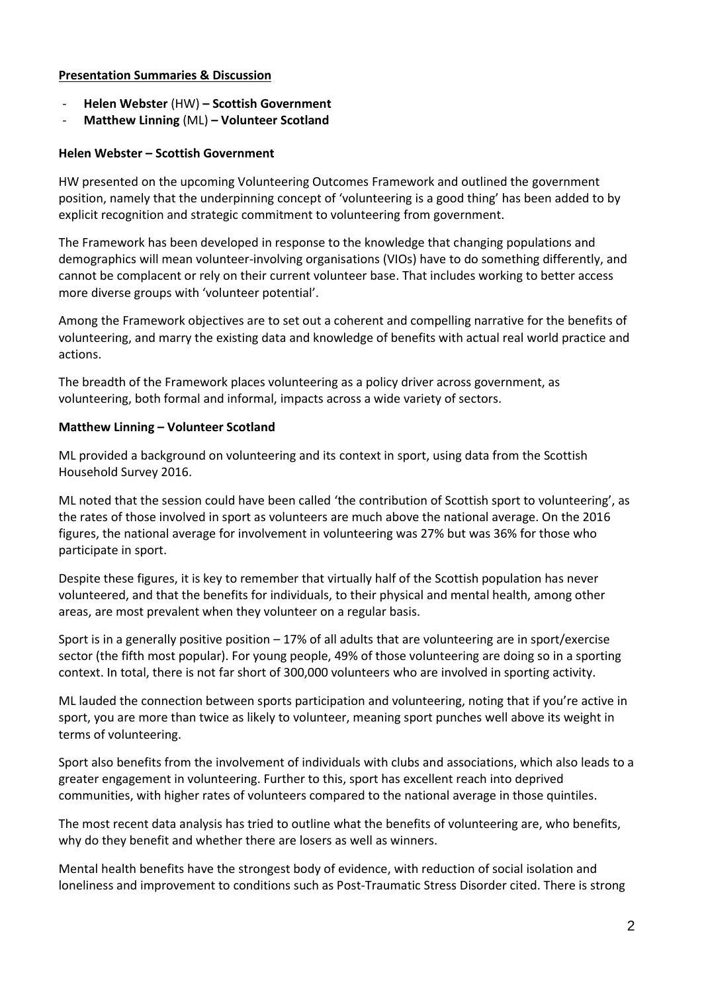#### **Presentation Summaries & Discussion**

- **Helen Webster** (HW) **– Scottish Government**
- **Matthew Linning** (ML) **– Volunteer Scotland**

#### **Helen Webster – Scottish Government**

HW presented on the upcoming Volunteering Outcomes Framework and outlined the government position, namely that the underpinning concept of 'volunteering is a good thing' has been added to by explicit recognition and strategic commitment to volunteering from government.

The Framework has been developed in response to the knowledge that changing populations and demographics will mean volunteer-involving organisations (VIOs) have to do something differently, and cannot be complacent or rely on their current volunteer base. That includes working to better access more diverse groups with 'volunteer potential'.

Among the Framework objectives are to set out a coherent and compelling narrative for the benefits of volunteering, and marry the existing data and knowledge of benefits with actual real world practice and actions.

The breadth of the Framework places volunteering as a policy driver across government, as volunteering, both formal and informal, impacts across a wide variety of sectors.

#### **Matthew Linning – Volunteer Scotland**

ML provided a background on volunteering and its context in sport, using data from the Scottish Household Survey 2016.

ML noted that the session could have been called 'the contribution of Scottish sport to volunteering', as the rates of those involved in sport as volunteers are much above the national average. On the 2016 figures, the national average for involvement in volunteering was 27% but was 36% for those who participate in sport.

Despite these figures, it is key to remember that virtually half of the Scottish population has never volunteered, and that the benefits for individuals, to their physical and mental health, among other areas, are most prevalent when they volunteer on a regular basis.

Sport is in a generally positive position – 17% of all adults that are volunteering are in sport/exercise sector (the fifth most popular). For young people, 49% of those volunteering are doing so in a sporting context. In total, there is not far short of 300,000 volunteers who are involved in sporting activity.

ML lauded the connection between sports participation and volunteering, noting that if you're active in sport, you are more than twice as likely to volunteer, meaning sport punches well above its weight in terms of volunteering.

Sport also benefits from the involvement of individuals with clubs and associations, which also leads to a greater engagement in volunteering. Further to this, sport has excellent reach into deprived communities, with higher rates of volunteers compared to the national average in those quintiles.

The most recent data analysis has tried to outline what the benefits of volunteering are, who benefits, why do they benefit and whether there are losers as well as winners.

Mental health benefits have the strongest body of evidence, with reduction of social isolation and loneliness and improvement to conditions such as Post-Traumatic Stress Disorder cited. There is strong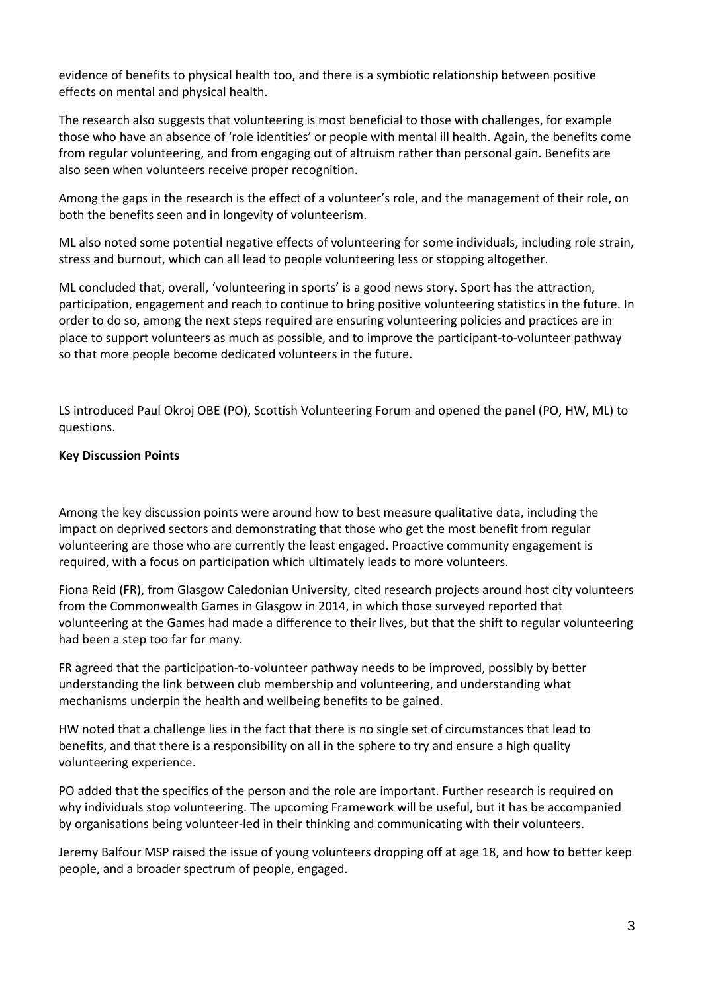evidence of benefits to physical health too, and there is a symbiotic relationship between positive effects on mental and physical health.

The research also suggests that volunteering is most beneficial to those with challenges, for example those who have an absence of 'role identities' or people with mental ill health. Again, the benefits come from regular volunteering, and from engaging out of altruism rather than personal gain. Benefits are also seen when volunteers receive proper recognition.

Among the gaps in the research is the effect of a volunteer's role, and the management of their role, on both the benefits seen and in longevity of volunteerism.

ML also noted some potential negative effects of volunteering for some individuals, including role strain, stress and burnout, which can all lead to people volunteering less or stopping altogether.

ML concluded that, overall, 'volunteering in sports' is a good news story. Sport has the attraction, participation, engagement and reach to continue to bring positive volunteering statistics in the future. In order to do so, among the next steps required are ensuring volunteering policies and practices are in place to support volunteers as much as possible, and to improve the participant-to-volunteer pathway so that more people become dedicated volunteers in the future.

LS introduced Paul Okroj OBE (PO), Scottish Volunteering Forum and opened the panel (PO, HW, ML) to questions.

#### **Key Discussion Points**

Among the key discussion points were around how to best measure qualitative data, including the impact on deprived sectors and demonstrating that those who get the most benefit from regular volunteering are those who are currently the least engaged. Proactive community engagement is required, with a focus on participation which ultimately leads to more volunteers.

Fiona Reid (FR), from Glasgow Caledonian University, cited research projects around host city volunteers from the Commonwealth Games in Glasgow in 2014, in which those surveyed reported that volunteering at the Games had made a difference to their lives, but that the shift to regular volunteering had been a step too far for many.

FR agreed that the participation-to-volunteer pathway needs to be improved, possibly by better understanding the link between club membership and volunteering, and understanding what mechanisms underpin the health and wellbeing benefits to be gained.

HW noted that a challenge lies in the fact that there is no single set of circumstances that lead to benefits, and that there is a responsibility on all in the sphere to try and ensure a high quality volunteering experience.

PO added that the specifics of the person and the role are important. Further research is required on why individuals stop volunteering. The upcoming Framework will be useful, but it has be accompanied by organisations being volunteer-led in their thinking and communicating with their volunteers.

Jeremy Balfour MSP raised the issue of young volunteers dropping off at age 18, and how to better keep people, and a broader spectrum of people, engaged.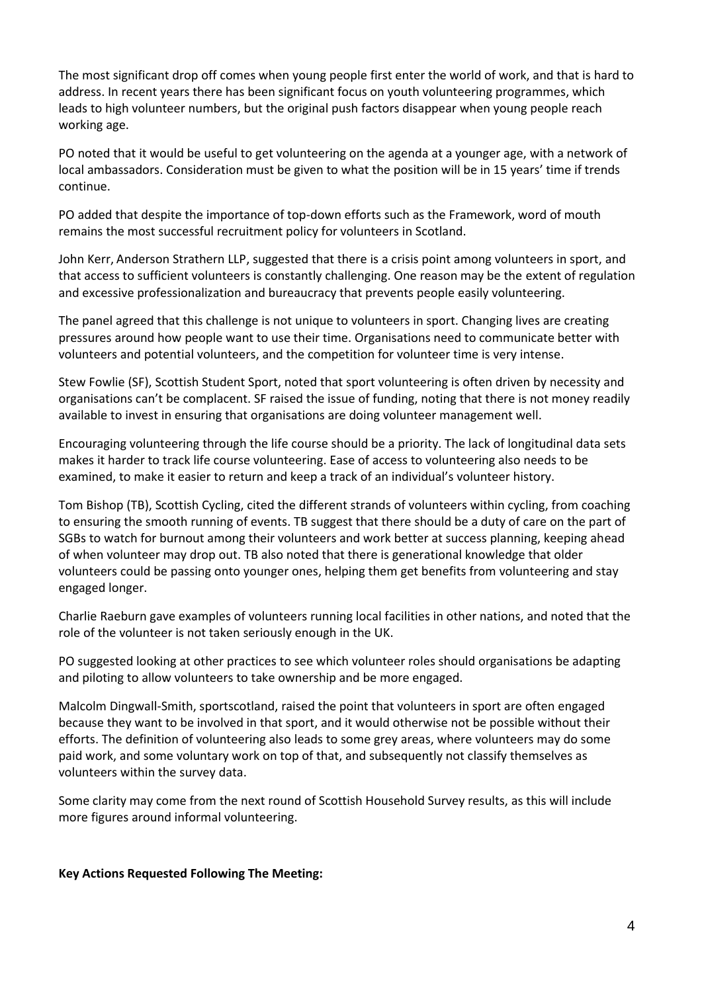The most significant drop off comes when young people first enter the world of work, and that is hard to address. In recent years there has been significant focus on youth volunteering programmes, which leads to high volunteer numbers, but the original push factors disappear when young people reach working age.

PO noted that it would be useful to get volunteering on the agenda at a younger age, with a network of local ambassadors. Consideration must be given to what the position will be in 15 years' time if trends continue.

PO added that despite the importance of top-down efforts such as the Framework, word of mouth remains the most successful recruitment policy for volunteers in Scotland.

John Kerr, Anderson Strathern LLP, suggested that there is a crisis point among volunteers in sport, and that access to sufficient volunteers is constantly challenging. One reason may be the extent of regulation and excessive professionalization and bureaucracy that prevents people easily volunteering.

The panel agreed that this challenge is not unique to volunteers in sport. Changing lives are creating pressures around how people want to use their time. Organisations need to communicate better with volunteers and potential volunteers, and the competition for volunteer time is very intense.

Stew Fowlie (SF), Scottish Student Sport, noted that sport volunteering is often driven by necessity and organisations can't be complacent. SF raised the issue of funding, noting that there is not money readily available to invest in ensuring that organisations are doing volunteer management well.

Encouraging volunteering through the life course should be a priority. The lack of longitudinal data sets makes it harder to track life course volunteering. Ease of access to volunteering also needs to be examined, to make it easier to return and keep a track of an individual's volunteer history.

Tom Bishop (TB), Scottish Cycling, cited the different strands of volunteers within cycling, from coaching to ensuring the smooth running of events. TB suggest that there should be a duty of care on the part of SGBs to watch for burnout among their volunteers and work better at success planning, keeping ahead of when volunteer may drop out. TB also noted that there is generational knowledge that older volunteers could be passing onto younger ones, helping them get benefits from volunteering and stay engaged longer.

Charlie Raeburn gave examples of volunteers running local facilities in other nations, and noted that the role of the volunteer is not taken seriously enough in the UK.

PO suggested looking at other practices to see which volunteer roles should organisations be adapting and piloting to allow volunteers to take ownership and be more engaged.

Malcolm Dingwall-Smith, sportscotland, raised the point that volunteers in sport are often engaged because they want to be involved in that sport, and it would otherwise not be possible without their efforts. The definition of volunteering also leads to some grey areas, where volunteers may do some paid work, and some voluntary work on top of that, and subsequently not classify themselves as volunteers within the survey data.

Some clarity may come from the next round of Scottish Household Survey results, as this will include more figures around informal volunteering.

#### **Key Actions Requested Following The Meeting:**